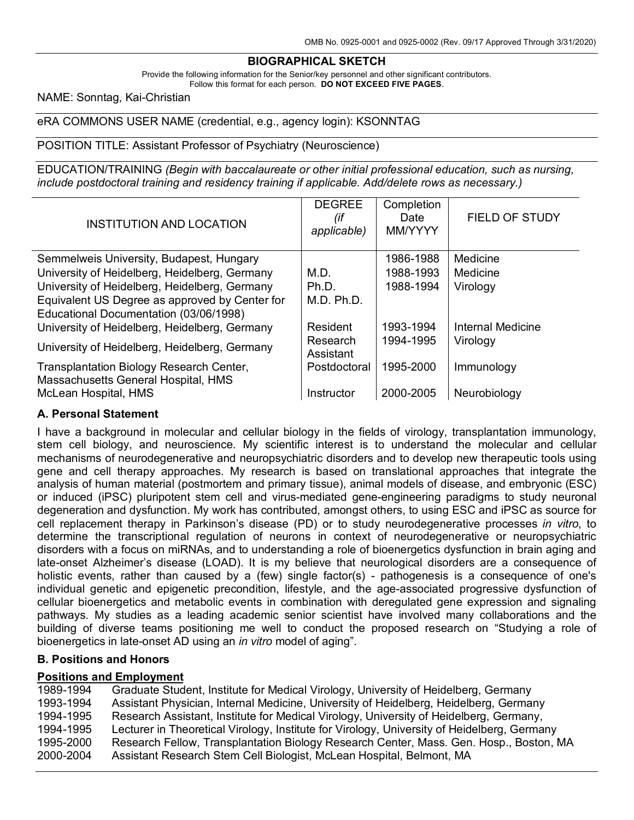## **BIOGRAPHICAL SKETCH**

Provide the following information for the Senior/key personnel and other significant contributors. Follow this format for each person. **DO NOT EXCEED FIVE PAGES**.

## NAME: Sonntag, Kai-Christian

eRA COMMONS USER NAME (credential, e.g., agency login): KSONNTAG

#### POSITION TITLE: Assistant Professor of Psychiatry (Neuroscience)

EDUCATION/TRAINING *(Begin with baccalaureate or other initial professional education, such as nursing, include postdoctoral training and residency training if applicable. Add/delete rows as necessary.)*

| <b>INSTITUTION AND LOCATION</b>                                                 | <b>DEGREE</b><br>(if<br>applicable) | Completion<br>Date<br>MM/YYYY | <b>FIELD OF STUDY</b> |
|---------------------------------------------------------------------------------|-------------------------------------|-------------------------------|-----------------------|
| Semmelweis University, Budapest, Hungary                                        |                                     | 1986-1988                     | Medicine              |
| University of Heidelberg, Heidelberg, Germany                                   | M.D.                                | 1988-1993                     | Medicine              |
| University of Heidelberg, Heidelberg, Germany                                   | Ph.D.                               | 1988-1994                     | Virology              |
| Equivalent US Degree as approved by Center for                                  | M.D. Ph.D.                          |                               |                       |
| Educational Documentation (03/06/1998)                                          |                                     |                               |                       |
| University of Heidelberg, Heidelberg, Germany                                   | Resident                            | 1993-1994                     | Internal Medicine     |
| University of Heidelberg, Heidelberg, Germany                                   | Research<br>Assistant               | 1994-1995                     | Virology              |
| Transplantation Biology Research Center,<br>Massachusetts General Hospital, HMS | Postdoctoral                        | 1995-2000                     | Immunology            |
| McLean Hospital, HMS                                                            | Instructor                          | 2000-2005                     | Neurobiology          |

## **A. Personal Statement**

I have a background in molecular and cellular biology in the fields of virology, transplantation immunology, stem cell biology, and neuroscience. My scientific interest is to understand the molecular and cellular mechanisms of neurodegenerative and neuropsychiatric disorders and to develop new therapeutic tools using gene and cell therapy approaches. My research is based on translational approaches that integrate the analysis of human material (postmortem and primary tissue), animal models of disease, and embryonic (ESC) or induced (iPSC) pluripotent stem cell and virus-mediated gene-engineering paradigms to study neuronal degeneration and dysfunction. My work has contributed, amongst others, to using ESC and iPSC as source for cell replacement therapy in Parkinson's disease (PD) or to study neurodegenerative processes *in vitro*, to determine the transcriptional regulation of neurons in context of neurodegenerative or neuropsychiatric disorders with a focus on miRNAs, and to understanding a role of bioenergetics dysfunction in brain aging and late-onset Alzheimer's disease (LOAD). It is my believe that neurological disorders are a consequence of holistic events, rather than caused by a (few) single factor(s) - pathogenesis is a consequence of one's individual genetic and epigenetic precondition, lifestyle, and the age-associated progressive dysfunction of cellular bioenergetics and metabolic events in combination with deregulated gene expression and signaling pathways. My studies as a leading academic senior scientist have involved many collaborations and the building of diverse teams positioning me well to conduct the proposed research on "Studying a role of bioenergetics in late-onset AD using an *in vitro* model of aging".

## **B. Positions and Honors**

## **Positions and Employment**

1989-1994 Graduate Student, Institute for Medical Virology, University of Heidelberg, Germany 1993-1994 Assistant Physician, Internal Medicine, University of Heidelberg, Heidelberg, Germany 1994-1995 Research Assistant, Institute for Medical Virology, University of Heidelberg, Germany, 1994-1995 Lecturer in Theoretical Virology, Institute for Virology, University of Heidelberg, Germany 1995-2000 Research Fellow, Transplantation Biology Research Center, Mass. Gen. Hosp., Boston, MA 2000-2004 Assistant Research Stem Cell Biologist, McLean Hospital, Belmont, MA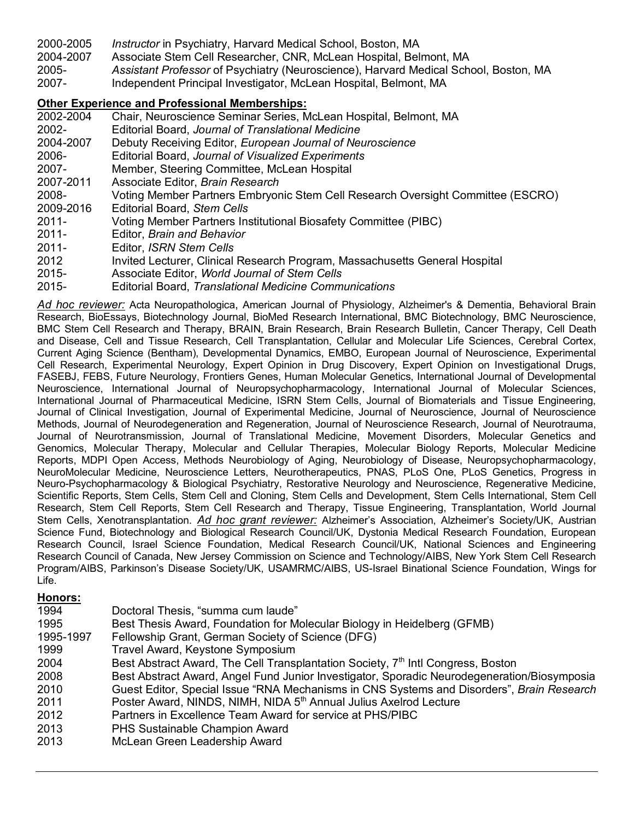- 2000-2005 *Instructor* in Psychiatry, Harvard Medical School, Boston, MA
- 2004-2007 Associate Stem Cell Researcher, CNR, McLean Hospital, Belmont, MA
- 2005- *Assistant Professor* of Psychiatry (Neuroscience), Harvard Medical School, Boston, MA
- 2007- Independent Principal Investigator, McLean Hospital, Belmont, MA

# **Other Experience and Professional Memberships:**

- Chair, Neuroscience Seminar Series, McLean Hospital, Belmont, MA
- 2002- Editorial Board, *Journal of Translational Medicine*
- 2004-2007 Debuty Receiving Editor, *European Journal of Neuroscience*
- 2006- Editorial Board, *Journal of Visualized Experiments*
- 2007- Member, Steering Committee, McLean Hospital
- 2007-2011 Associate Editor, *Brain Research*
- 2008- Voting Member Partners Embryonic Stem Cell Research Oversight Committee (ESCRO)
- 2009-2016 Editorial Board, *Stem Cells*
- 2011- Voting Member Partners Institutional Biosafety Committee (PIBC)
- 2011- Editor, *Brain and Behavior*
- 2011- Editor, *ISRN Stem Cells*
- 2012 Invited Lecturer, Clinical Research Program, Massachusetts General Hospital
- 2015- Associate Editor, *World Journal of Stem Cells*
- 2015- Editorial Board, *Translational Medicine Communications*

*Ad hoc reviewer:* Acta Neuropathologica, American Journal of Physiology, Alzheimer's & Dementia, Behavioral Brain Research, BioEssays, Biotechnology Journal, BioMed Research International, BMC Biotechnology, BMC Neuroscience, BMC Stem Cell Research and Therapy, BRAIN, Brain Research, Brain Research Bulletin, Cancer Therapy, Cell Death and Disease, Cell and Tissue Research, Cell Transplantation, Cellular and Molecular Life Sciences, Cerebral Cortex, Current Aging Science (Bentham), Developmental Dynamics, EMBO, European Journal of Neuroscience, Experimental Cell Research, Experimental Neurology, Expert Opinion in Drug Discovery, Expert Opinion on Investigational Drugs, FASEBJ, FEBS, Future Neurology, Frontiers Genes, Human Molecular Genetics, International Journal of Developmental Neuroscience, International Journal of Neuropsychopharmacology, International Journal of Molecular Sciences, International Journal of Pharmaceutical Medicine, ISRN Stem Cells, Journal of Biomaterials and Tissue Engineering, Journal of Clinical Investigation, Journal of Experimental Medicine, Journal of Neuroscience, Journal of Neuroscience Methods, Journal of Neurodegeneration and Regeneration, Journal of Neuroscience Research, Journal of Neurotrauma, Journal of Neurotransmission, Journal of Translational Medicine, Movement Disorders, Molecular Genetics and Genomics, Molecular Therapy, Molecular and Cellular Therapies, Molecular Biology Reports, Molecular Medicine Reports, MDPI Open Access, Methods Neurobiology of Aging, Neurobiology of Disease, Neuropsychopharmacology, NeuroMolecular Medicine, Neuroscience Letters, Neurotherapeutics, PNAS, PLoS One, PLoS Genetics, Progress in Neuro-Psychopharmacology & Biological Psychiatry, Restorative Neurology and Neuroscience, Regenerative Medicine, Scientific Reports, Stem Cells, Stem Cell and Cloning, Stem Cells and Development, Stem Cells International, Stem Cell Research, Stem Cell Reports, Stem Cell Research and Therapy, Tissue Engineering, Transplantation, World Journal Stem Cells, Xenotransplantation. *Ad hoc grant reviewer:* Alzheimer's Association, Alzheimer's Society/UK, Austrian Science Fund, Biotechnology and Biological Research Council/UK, Dystonia Medical Research Foundation, European Research Council, Israel Science Foundation, Medical Research Council/UK, National Sciences and Engineering Research Council of Canada, New Jersey Commission on Science and Technology/AIBS, New York Stem Cell Research Program/AIBS, Parkinson's Disease Society/UK, USAMRMC/AIBS, US-Israel Binational Science Foundation, Wings for Life.

## **Honors:**

| 1994      | Doctoral Thesis, "summa cum laude"                                                           |
|-----------|----------------------------------------------------------------------------------------------|
| 1995      | Best Thesis Award, Foundation for Molecular Biology in Heidelberg (GFMB)                     |
| 1995-1997 | Fellowship Grant, German Society of Science (DFG)                                            |
| 1999      | Travel Award, Keystone Symposium                                                             |
| 2004      | Best Abstract Award, The Cell Transplantation Society, 7 <sup>th</sup> Intl Congress, Boston |
| 2008      | Best Abstract Award, Angel Fund Junior Investigator, Sporadic Neurodegeneration/Biosymposia  |
| 2010      | Guest Editor, Special Issue "RNA Mechanisms in CNS Systems and Disorders", Brain Research    |
| 2011      | Poster Award, NINDS, NIMH, NIDA 5 <sup>th</sup> Annual Julius Axelrod Lecture                |
| 2012      | Partners in Excellence Team Award for service at PHS/PIBC                                    |
| 2013      | PHS Sustainable Champion Award                                                               |
| 2013      | McLean Green Leadership Award                                                                |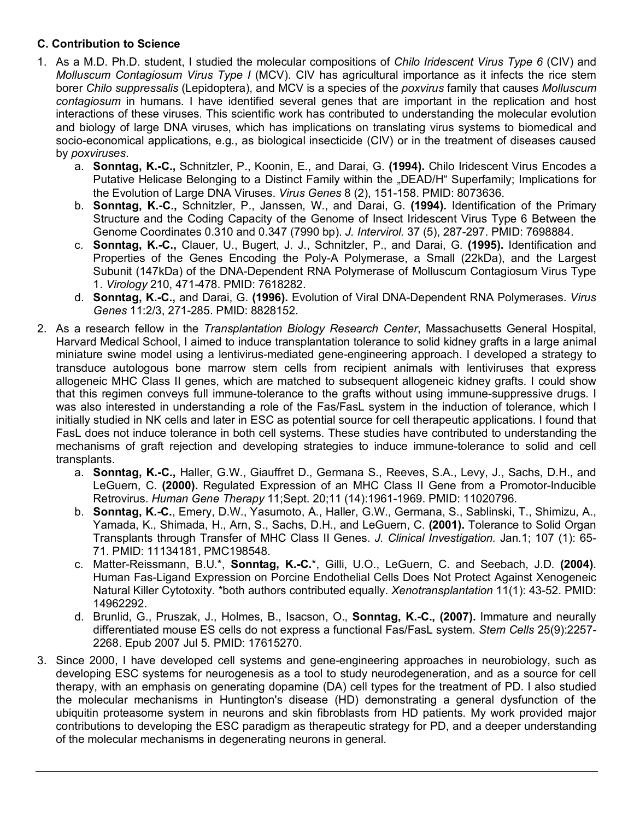# **C. Contribution to Science**

- 1. As a M.D. Ph.D. student, I studied the molecular compositions of *Chilo Iridescent Virus Type 6* (CIV) and *Molluscum Contagiosum Virus Type I* (MCV). CIV has agricultural importance as it infects the rice stem borer *Chilo suppressalis* (Lepidoptera), and MCV is a species of the *poxvirus* family that causes *Molluscum contagiosum* in humans. I have identified several genes that are important in the replication and host interactions of these viruses. This scientific work has contributed to understanding the molecular evolution and biology of large DNA viruses, which has implications on translating virus systems to biomedical and socio-economical applications, e.g., as biological insecticide (CIV) or in the treatment of diseases caused by *poxviruses*.
	- a. **Sonntag, K.-C.,** Schnitzler, P., Koonin, E., and Darai, G. **(1994).** Chilo Iridescent Virus Encodes a Putative Helicase Belonging to a Distinct Family within the "DEAD/H" Superfamily; Implications for the Evolution of Large DNA Viruses. *Virus Genes* 8 (2), 151-158. PMID: 8073636.
	- b. **Sonntag, K.-C.,** Schnitzler, P., Janssen, W., and Darai, G. **(1994).** Identification of the Primary Structure and the Coding Capacity of the Genome of Insect Iridescent Virus Type 6 Between the Genome Coordinates 0.310 and 0.347 (7990 bp). *J. Intervirol.* 37 (5), 287-297. PMID: 7698884.
	- c. **Sonntag, K.-C.,** Clauer, U., Bugert, J. J., Schnitzler, P., and Darai, G. **(1995).** Identification and Properties of the Genes Encoding the Poly-A Polymerase, a Small (22kDa), and the Largest Subunit (147kDa) of the DNA-Dependent RNA Polymerase of Molluscum Contagiosum Virus Type 1. *Virology* 210, 471-478. PMID: 7618282.
	- d. **Sonntag, K.-C.,** and Darai, G. **(1996).** Evolution of Viral DNA-Dependent RNA Polymerases. *Virus Genes* 11:2/3, 271-285. PMID: 8828152.
- 2. As a research fellow in the *Transplantation Biology Research Center*, Massachusetts General Hospital, Harvard Medical School, I aimed to induce transplantation tolerance to solid kidney grafts in a large animal miniature swine model using a lentivirus-mediated gene-engineering approach. I developed a strategy to transduce autologous bone marrow stem cells from recipient animals with lentiviruses that express allogeneic MHC Class II genes, which are matched to subsequent allogeneic kidney grafts. I could show that this regimen conveys full immune-tolerance to the grafts without using immune-suppressive drugs. I was also interested in understanding a role of the Fas/FasL system in the induction of tolerance, which I initially studied in NK cells and later in ESC as potential source for cell therapeutic applications. I found that FasL does not induce tolerance in both cell systems. These studies have contributed to understanding the mechanisms of graft rejection and developing strategies to induce immune-tolerance to solid and cell transplants.
	- a. **Sonntag, K.-C.,** Haller, G.W., Giauffret D., Germana S., Reeves, S.A., Levy, J., Sachs, D.H., and LeGuern, C. **(2000).** Regulated Expression of an MHC Class II Gene from a Promotor-Inducible Retrovirus. *Human Gene Therapy* 11;Sept. 20;11 (14):1961-1969. PMID: 11020796.
	- b. **Sonntag, K.-C.**, Emery, D.W., Yasumoto, A., Haller, G.W., Germana, S., Sablinski, T., Shimizu, A., Yamada, K., Shimada, H., Arn, S., Sachs, D.H., and LeGuern, C. **(2001).** Tolerance to Solid Organ Transplants through Transfer of MHC Class II Genes. *J. Clinical Investigation.* Jan.1; 107 (1): 65- 71. PMID: 11134181, PMC198548.
	- c. Matter-Reissmann, B.U.\*, **Sonntag, K.-C.**\*, Gilli, U.O., LeGuern, C. and Seebach, J.D. **(2004)**. Human Fas-Ligand Expression on Porcine Endothelial Cells Does Not Protect Against Xenogeneic Natural Killer Cytotoxity. \*both authors contributed equally. *Xenotransplantation* 11(1): 43-52. PMID: 14962292.
	- d. Brunlid, G., Pruszak, J., Holmes, B., Isacson, O., **Sonntag, K.-C., (2007).** Immature and neurally differentiated mouse ES cells do not express a functional Fas/FasL system. *Stem Cells* 25(9):2257- 2268. Epub 2007 Jul 5. PMID: 17615270.
- 3. Since 2000, I have developed cell systems and gene-engineering approaches in neurobiology, such as developing ESC systems for neurogenesis as a tool to study neurodegeneration, and as a source for cell therapy, with an emphasis on generating dopamine (DA) cell types for the treatment of PD. I also studied the molecular mechanisms in Huntington's disease (HD) demonstrating a general dysfunction of the ubiquitin proteasome system in neurons and skin fibroblasts from HD patients. My work provided major contributions to developing the ESC paradigm as therapeutic strategy for PD, and a deeper understanding of the molecular mechanisms in degenerating neurons in general.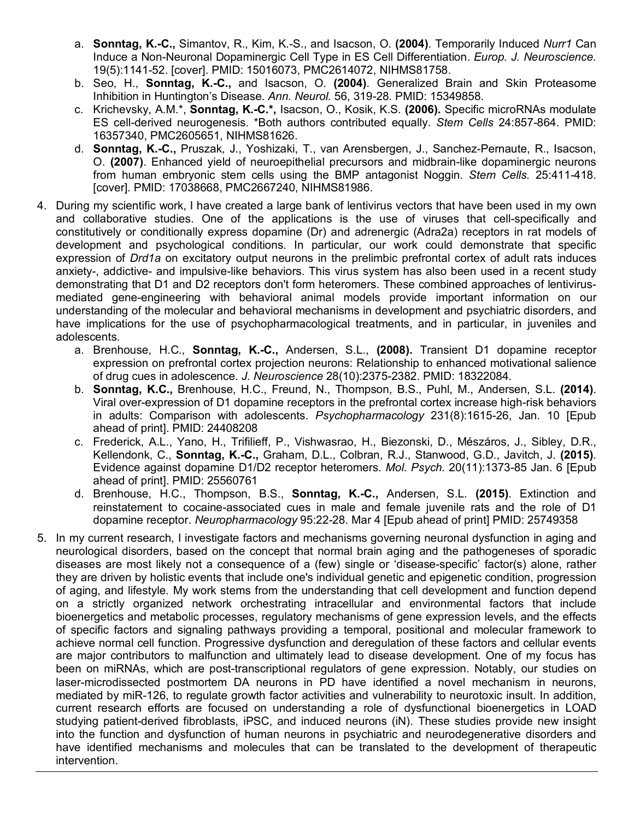- a. **Sonntag, K.-C.,** Simantov, R., Kim, K.-S., and Isacson, O. **(2004)**. Temporarily Induced *Nurr1* Can Induce a Non-Neuronal Dopaminergic Cell Type in ES Cell Differentiation. *Europ. J. Neuroscience.*  19(5):1141-52. [cover]. PMID: 15016073, PMC2614072, NIHMS81758.
- b. Seo, H., **Sonntag, K.-C.,** and Isacson, O. **(2004)**. Generalized Brain and Skin Proteasome Inhibition in Huntington's Disease. *Ann. Neurol.* 56, 319-28*.* PMID: 15349858.
- c. Krichevsky, A.M.\*, **Sonntag, K.-C.\*,** Isacson, O., Kosik, K.S. **(2006).** Specific microRNAs modulate ES cell-derived neurogenesis. \*Both authors contributed equally. *Stem Cells* 24:857-864. PMID: 16357340, PMC2605651, NIHMS81626.
- d. **Sonntag, K.-C.,** Pruszak, J., Yoshizaki, T., van Arensbergen, J., Sanchez-Pernaute, R., Isacson, O. **(2007)**. Enhanced yield of neuroepithelial precursors and midbrain-like dopaminergic neurons from human embryonic stem cells using the BMP antagonist Noggin. *Stem Cells.* 25:411-418. [cover]. PMID: 17038668, PMC2667240, NIHMS81986.
- 4. During my scientific work, I have created a large bank of lentivirus vectors that have been used in my own and collaborative studies. One of the applications is the use of viruses that cell-specifically and constitutively or conditionally express dopamine (Dr) and adrenergic (Adra2a) receptors in rat models of development and psychological conditions. In particular, our work could demonstrate that specific expression of *Drd1a* on excitatory output neurons in the prelimbic prefrontal cortex of adult rats induces anxiety-, addictive- and impulsive-like behaviors. This virus system has also been used in a recent study demonstrating that D1 and D2 receptors don't form heteromers. These combined approaches of lentivirusmediated gene-engineering with behavioral animal models provide important information on our understanding of the molecular and behavioral mechanisms in development and psychiatric disorders, and have implications for the use of psychopharmacological treatments, and in particular, in juveniles and adolescents.
	- a. Brenhouse, H.C., **Sonntag, K.-C.,** Andersen, S.L., **(2008).** Transient D1 dopamine receptor expression on prefrontal cortex projection neurons: Relationship to enhanced motivational salience of drug cues in adolescence. *J. Neuroscience* 28(10):2375-2382. PMID: 18322084.
	- b. **Sonntag, K.C.,** Brenhouse, H.C., Freund, N., Thompson, B.S., Puhl, M., Andersen, S.L. **(2014)**. Viral over-expression of D1 dopamine receptors in the prefrontal cortex increase high-risk behaviors in adults: Comparison with adolescents. *Psychopharmacology* 231(8):1615-26, Jan. 10 [Epub ahead of print]. PMID: 24408208
	- c. Frederick, A.L., Yano, H., Trifilieff, P., Vishwasrao, H., Biezonski, D., Mészáros, J., Sibley, D.R., Kellendonk, C., **Sonntag, K.-C.,** Graham, D.L., Colbran, R.J., Stanwood, G.D., Javitch, J. **(2015)**. Evidence against dopamine D1/D2 receptor heteromers. *Mol. Psych.* 20(11):1373-85 Jan. 6 [Epub ahead of print]. PMID: 25560761
	- d. Brenhouse, H.C., Thompson, B.S., **Sonntag, K.-C.,** Andersen, S.L. **(2015)**. Extinction and reinstatement to cocaine-associated cues in male and female juvenile rats and the role of D1 dopamine receptor. *Neuropharmacology* 95:22-28. Mar 4 [Epub ahead of print] PMID: 25749358
- 5. In my current research, I investigate factors and mechanisms governing neuronal dysfunction in aging and neurological disorders, based on the concept that normal brain aging and the pathogeneses of sporadic diseases are most likely not a consequence of a (few) single or 'disease-specific' factor(s) alone, rather they are driven by holistic events that include one's individual genetic and epigenetic condition, progression of aging, and lifestyle. My work stems from the understanding that cell development and function depend on a strictly organized network orchestrating intracellular and environmental factors that include bioenergetics and metabolic processes, regulatory mechanisms of gene expression levels, and the effects of specific factors and signaling pathways providing a temporal, positional and molecular framework to achieve normal cell function. Progressive dysfunction and deregulation of these factors and cellular events are major contributors to malfunction and ultimately lead to disease development. One of my focus has been on miRNAs, which are post-transcriptional regulators of gene expression. Notably, our studies on laser-microdissected postmortem DA neurons in PD have identified a novel mechanism in neurons, mediated by miR-126, to regulate growth factor activities and vulnerability to neurotoxic insult. In addition, current research efforts are focused on understanding a role of dysfunctional bioenergetics in LOAD studying patient-derived fibroblasts, iPSC, and induced neurons (iN). These studies provide new insight into the function and dysfunction of human neurons in psychiatric and neurodegenerative disorders and have identified mechanisms and molecules that can be translated to the development of therapeutic intervention.